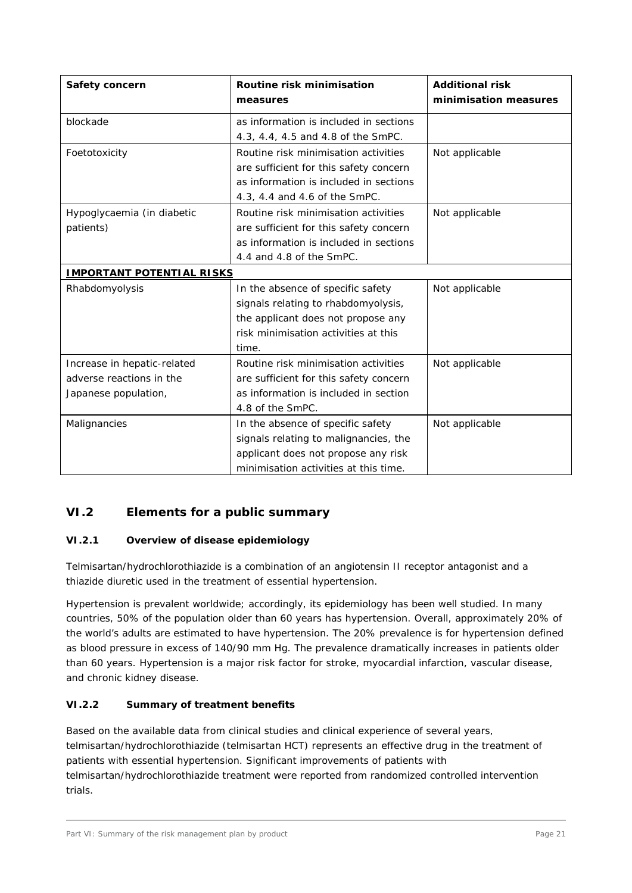# **VI.2 Elements for a public summary**

#### *VI.2.1 Overview of disease epidemiology*

Telmisartan/hydrochlorothiazide is a combination of an angiotensin II receptor antagonist and a thiazide diuretic used in the treatment of essential hypertension.

Hypertension is prevalent worldwide; accordingly, its epidemiology has been well studied. In many countries, 50% of the population older than 60 years has hypertension. Overall, approximately 20% of the world's adults are estimated to have hypertension. The 20% prevalence is for hypertension defined as blood pressure in excess of 140/90 mm Hg. The prevalence dramatically increases in patients older than 60 years. Hypertension is a major risk factor for stroke, myocardial infarction, vascular disease, and chronic kidney disease.

#### *VI.2.2 Summary of treatment benefits*

Based on the available data from clinical studies and clinical experience of several years, telmisartan/hydrochlorothiazide (telmisartan HCT) represents an effective drug in the treatment of patients with essential hypertension. Significant improvements of patients with telmisartan/hydrochlorothiazide treatment were reported from randomized controlled intervention trials.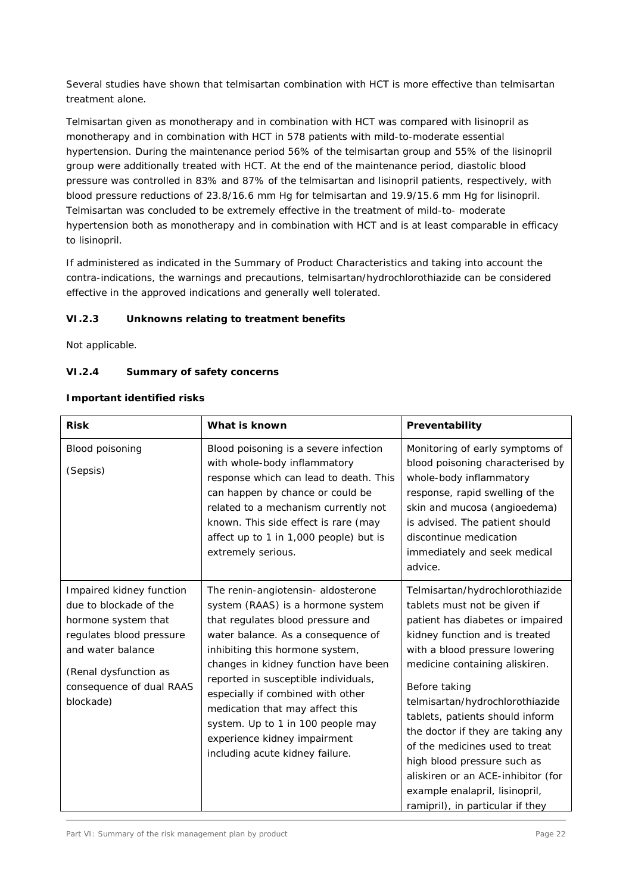Several studies have shown that telmisartan combination with HCT is more effective than telmisartan treatment alone.

Telmisartan given as monotherapy and in combination with HCT was compared with lisinopril as monotherapy and in combination with HCT in 578 patients with mild-to-moderate essential hypertension. During the maintenance period 56% of the telmisartan group and 55% of the lisinopril group were additionally treated with HCT. At the end of the maintenance period, diastolic blood pressure was controlled in 83% and 87% of the telmisartan and lisinopril patients, respectively, with blood pressure reductions of 23.8/16.6 mm Hg for telmisartan and 19.9/15.6 mm Hg for lisinopril. Telmisartan was concluded to be extremely effective in the treatment of mild-to- moderate hypertension both as monotherapy and in combination with HCT and is at least comparable in efficacy to lisinopril.

If administered as indicated in the Summary of Product Characteristics and taking into account the contra-indications, the warnings and precautions, telmisartan/hydrochlorothiazide can be considered effective in the approved indications and generally well tolerated.

## *VI.2.3 Unknowns relating to treatment benefits*

Not applicable.

## *VI.2.4 Summary of safety concerns*

#### **Important identified risks**

| <b>Risk</b>                                                                                                                                                                                  | What is known                                                                                                                                                                                                                                                                                                                                                                                                                                         | Preventability                                                                                                                                                                                                                                                                                                                                                                                                                                                                                                     |
|----------------------------------------------------------------------------------------------------------------------------------------------------------------------------------------------|-------------------------------------------------------------------------------------------------------------------------------------------------------------------------------------------------------------------------------------------------------------------------------------------------------------------------------------------------------------------------------------------------------------------------------------------------------|--------------------------------------------------------------------------------------------------------------------------------------------------------------------------------------------------------------------------------------------------------------------------------------------------------------------------------------------------------------------------------------------------------------------------------------------------------------------------------------------------------------------|
| Blood poisoning<br>(Sepsis)                                                                                                                                                                  | Blood poisoning is a severe infection<br>with whole-body inflammatory<br>response which can lead to death. This<br>can happen by chance or could be<br>related to a mechanism currently not<br>known. This side effect is rare (may<br>affect up to 1 in 1,000 people) but is<br>extremely serious.                                                                                                                                                   | Monitoring of early symptoms of<br>blood poisoning characterised by<br>whole-body inflammatory<br>response, rapid swelling of the<br>skin and mucosa (angioedema)<br>is advised. The patient should<br>discontinue medication<br>immediately and seek medical<br>advice.                                                                                                                                                                                                                                           |
| Impaired kidney function<br>due to blockade of the<br>hormone system that<br>regulates blood pressure<br>and water balance<br>(Renal dysfunction as<br>consequence of dual RAAS<br>blockade) | The renin-angiotensin- aldosterone<br>system (RAAS) is a hormone system<br>that regulates blood pressure and<br>water balance. As a consequence of<br>inhibiting this hormone system,<br>changes in kidney function have been<br>reported in susceptible individuals,<br>especially if combined with other<br>medication that may affect this<br>system. Up to 1 in 100 people may<br>experience kidney impairment<br>including acute kidney failure. | Telmisartan/hydrochlorothiazide<br>tablets must not be given if<br>patient has diabetes or impaired<br>kidney function and is treated<br>with a blood pressure lowering<br>medicine containing aliskiren.<br>Before taking<br>telmisartan/hydrochlorothiazide<br>tablets, patients should inform<br>the doctor if they are taking any<br>of the medicines used to treat<br>high blood pressure such as<br>aliskiren or an ACE-inhibitor (for<br>example enalapril, lisinopril,<br>ramipril), in particular if they |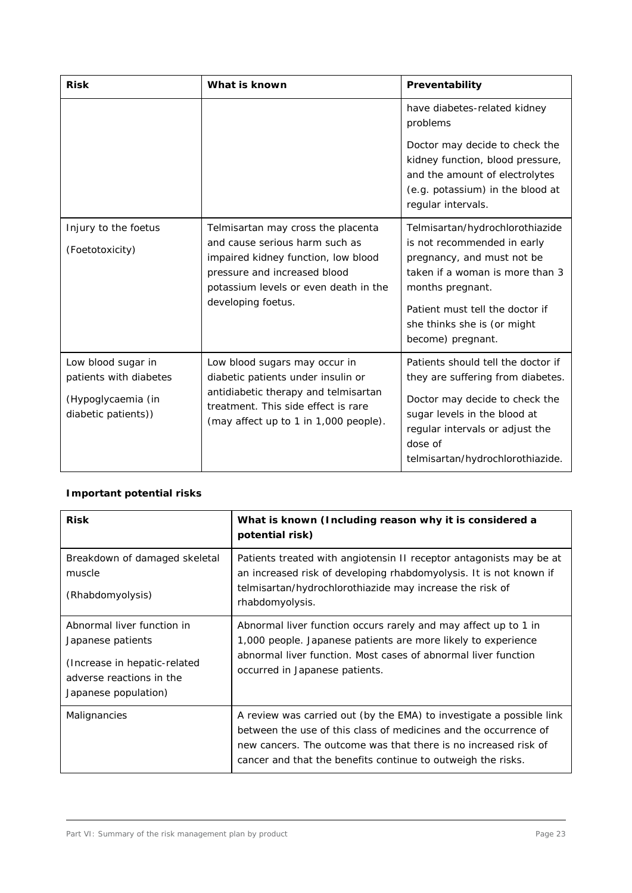| <b>Risk</b>                                                                               | What is known                                                                                                                                                                                              | Preventability                                                                                                                                                                                                                             |
|-------------------------------------------------------------------------------------------|------------------------------------------------------------------------------------------------------------------------------------------------------------------------------------------------------------|--------------------------------------------------------------------------------------------------------------------------------------------------------------------------------------------------------------------------------------------|
|                                                                                           |                                                                                                                                                                                                            | have diabetes-related kidney<br>problems<br>Doctor may decide to check the<br>kidney function, blood pressure,<br>and the amount of electrolytes<br>(e.g. potassium) in the blood at<br>regular intervals.                                 |
| Injury to the foetus<br>(Foetotoxicity)                                                   | Telmisartan may cross the placenta<br>and cause serious harm such as<br>impaired kidney function, low blood<br>pressure and increased blood<br>potassium levels or even death in the<br>developing foetus. | Telmisartan/hydrochlorothiazide<br>is not recommended in early<br>pregnancy, and must not be<br>taken if a woman is more than 3<br>months pregnant.<br>Patient must tell the doctor if<br>she thinks she is (or might<br>become) pregnant. |
| Low blood sugar in<br>patients with diabetes<br>(Hypoglycaemia (in<br>diabetic patients)) | Low blood sugars may occur in<br>diabetic patients under insulin or<br>antidiabetic therapy and telmisartan<br>treatment. This side effect is rare<br>(may affect up to 1 in 1,000 people).                | Patients should tell the doctor if<br>they are suffering from diabetes.<br>Doctor may decide to check the<br>sugar levels in the blood at<br>regular intervals or adjust the<br>dose of<br>telmisartan/hydrochlorothiazide.                |

# **Important potential risks**

| <b>Risk</b>                                                                                                                         | What is known (Including reason why it is considered a<br>potential risk)                                                                                                                                                                                                   |
|-------------------------------------------------------------------------------------------------------------------------------------|-----------------------------------------------------------------------------------------------------------------------------------------------------------------------------------------------------------------------------------------------------------------------------|
| Breakdown of damaged skeletal<br>muscle<br>(Rhabdomyolysis)                                                                         | Patients treated with angiotensin II receptor antagonists may be at<br>an increased risk of developing rhabdomyolysis. It is not known if<br>telmisartan/hydrochlorothiazide may increase the risk of<br>rhabdomyolysis.                                                    |
| Abnormal liver function in<br>Japanese patients<br>(Increase in hepatic-related<br>adverse reactions in the<br>Japanese population) | Abnormal liver function occurs rarely and may affect up to 1 in<br>1,000 people. Japanese patients are more likely to experience<br>abnormal liver function. Most cases of abnormal liver function<br>occurred in Japanese patients.                                        |
| Malignancies                                                                                                                        | A review was carried out (by the EMA) to investigate a possible link<br>between the use of this class of medicines and the occurrence of<br>new cancers. The outcome was that there is no increased risk of<br>cancer and that the benefits continue to outweigh the risks. |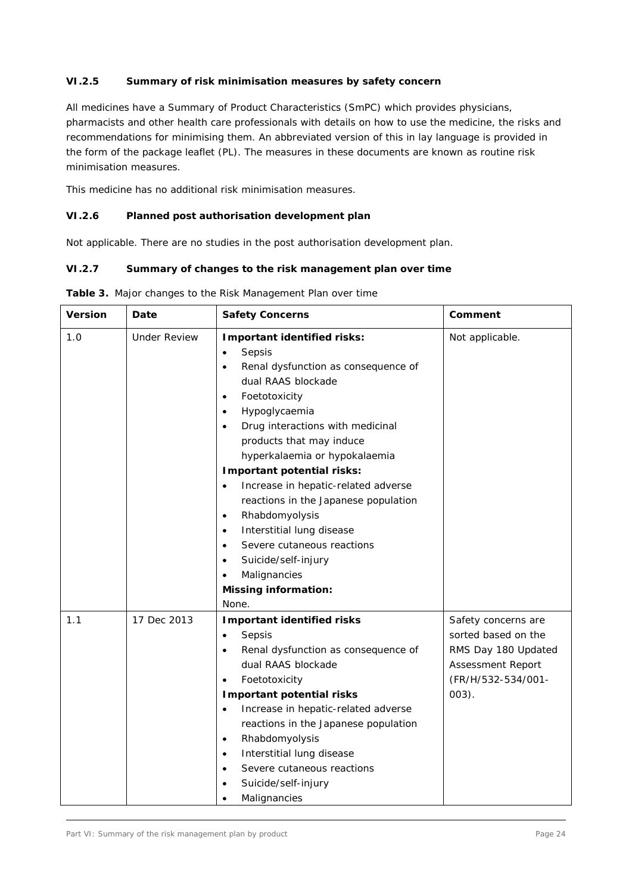## *VI.2.5 Summary of risk minimisation measures by safety concern*

All medicines have a Summary of Product Characteristics (SmPC) which provides physicians, pharmacists and other health care professionals with details on how to use the medicine, the risks and recommendations for minimising them. An abbreviated version of this in lay language is provided in the form of the package leaflet (PL). The measures in these documents are known as routine risk minimisation measures.

This medicine has no additional risk minimisation measures.

## *VI.2.6 Planned post authorisation development plan*

Not applicable. There are no studies in the post authorisation development plan.

#### *VI.2.7 Summary of changes to the risk management plan over time*

| <b>Version</b> | Date                | <b>Safety Concerns</b>                                                                                                                                                                                                                                                                                                                                                                                                                                                                                                                                                                                                                                        | Comment                                                                                                                         |
|----------------|---------------------|---------------------------------------------------------------------------------------------------------------------------------------------------------------------------------------------------------------------------------------------------------------------------------------------------------------------------------------------------------------------------------------------------------------------------------------------------------------------------------------------------------------------------------------------------------------------------------------------------------------------------------------------------------------|---------------------------------------------------------------------------------------------------------------------------------|
| 1.0            | <b>Under Review</b> | Important identified risks:<br>Sepsis<br>$\bullet$<br>Renal dysfunction as consequence of<br>$\bullet$<br>dual RAAS blockade<br>Foetotoxicity<br>$\bullet$<br>Hypoglycaemia<br>$\bullet$<br>Drug interactions with medicinal<br>$\bullet$<br>products that may induce<br>hyperkalaemia or hypokalaemia<br>Important potential risks:<br>Increase in hepatic-related adverse<br>$\bullet$<br>reactions in the Japanese population<br>Rhabdomyolysis<br>$\bullet$<br>Interstitial lung disease<br>$\bullet$<br>Severe cutaneous reactions<br>$\bullet$<br>Suicide/self-injury<br>$\bullet$<br>Malignancies<br>$\bullet$<br><b>Missing information:</b><br>None. | Not applicable.                                                                                                                 |
| 1.1            | 17 Dec 2013         | <b>Important identified risks</b><br>Sepsis<br>$\bullet$<br>Renal dysfunction as consequence of<br>$\bullet$<br>dual RAAS blockade<br>Foetotoxicity<br>$\bullet$<br><b>Important potential risks</b><br>Increase in hepatic-related adverse<br>$\bullet$<br>reactions in the Japanese population<br>Rhabdomyolysis<br>$\bullet$<br>Interstitial lung disease<br>$\bullet$<br>Severe cutaneous reactions<br>$\bullet$<br>Suicide/self-injury<br>Malignancies<br>$\bullet$                                                                                                                                                                                      | Safety concerns are<br>sorted based on the<br>RMS Day 180 Updated<br><b>Assessment Report</b><br>(FR/H/532-534/001-<br>$003$ ). |

**Table 3.** Major changes to the Risk Management Plan over time